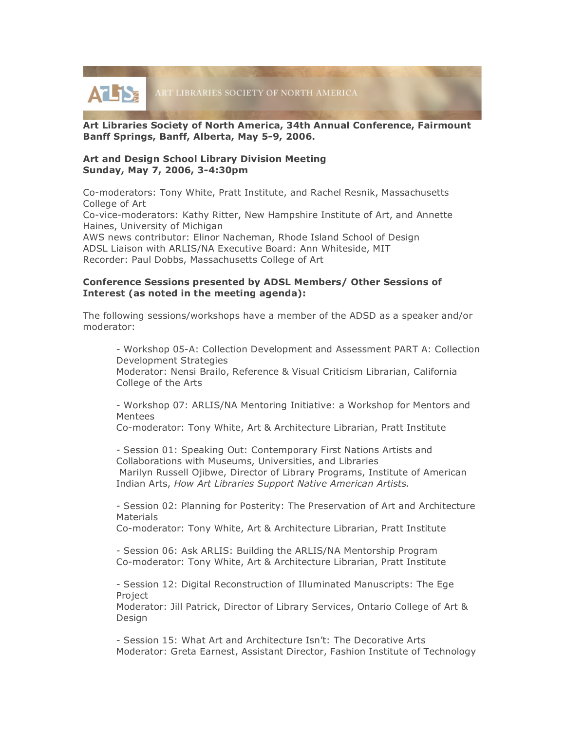

**Art Libraries Society of North America, 34th Annual Conference, Fairmount Banff Springs, Banff, Alberta, May 5-9, 2006.**

#### **Art and Design School Library Division Meeting Sunday, May 7, 2006, 3-4:30pm**

Co-moderators: Tony White, Pratt Institute, and Rachel Resnik, Massachusetts College of Art

Co-vice-moderators: Kathy Ritter, New Hampshire Institute of Art, and Annette Haines, University of Michigan

AWS news contributor: Elinor Nacheman, Rhode Island School of Design ADSL Liaison with ARLIS/NA Executive Board: Ann Whiteside, MIT Recorder: Paul Dobbs, Massachusetts College of Art

### **Conference Sessions presented by ADSL Members/ Other Sessions of Interest (as noted in the meeting agenda):**

The following sessions/workshops have a member of the ADSD as a speaker and/or moderator:

- Workshop 05-A: Collection Development and Assessment PART A: Collection Development Strategies Moderator: Nensi Brailo, Reference & Visual Criticism Librarian, California College of the Arts

- Workshop 07: ARLIS/NA Mentoring Initiative: a Workshop for Mentors and Mentees

Co-moderator: Tony White, Art & Architecture Librarian, Pratt Institute

- Session 01: Speaking Out: Contemporary First Nations Artists and Collaborations with Museums, Universities, and Libraries Marilyn Russell Ojibwe, Director of Library Programs, Institute of American Indian Arts, *How Art Libraries Support Native American Artists.*

- Session 02: Planning for Posterity: The Preservation of Art and Architecture **Materials** 

Co-moderator: Tony White, Art & Architecture Librarian, Pratt Institute

- Session 06: Ask ARLIS: Building the ARLIS/NA Mentorship Program Co-moderator: Tony White, Art & Architecture Librarian, Pratt Institute

- Session 12: Digital Reconstruction of Illuminated Manuscripts: The Ege Project

Moderator: Jill Patrick, Director of Library Services, Ontario College of Art & Design

- Session 15: What Art and Architecture Isn't: The Decorative Arts Moderator: Greta Earnest, Assistant Director, Fashion Institute of Technology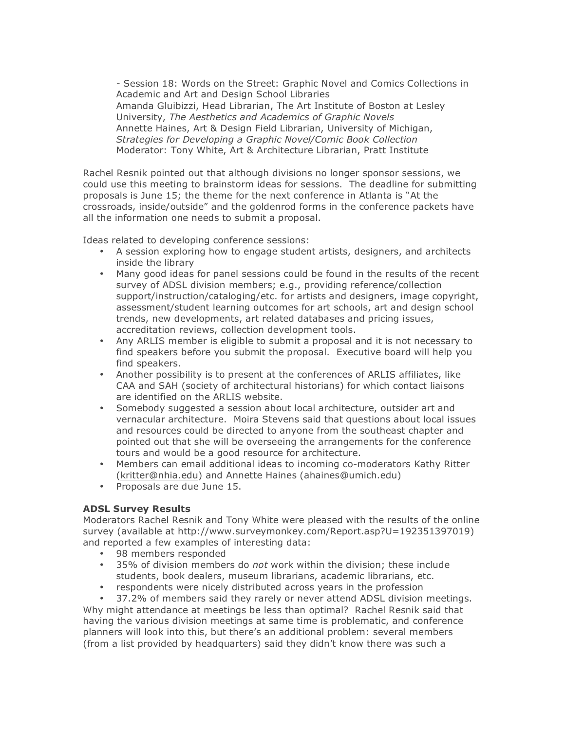- Session 18: Words on the Street: Graphic Novel and Comics Collections in Academic and Art and Design School Libraries Amanda Gluibizzi, Head Librarian, The Art Institute of Boston at Lesley University, *The Aesthetics and Academics of Graphic Novels* Annette Haines, Art & Design Field Librarian, University of Michigan, *Strategies for Developing a Graphic Novel/Comic Book Collection* Moderator: Tony White, Art & Architecture Librarian, Pratt Institute

Rachel Resnik pointed out that although divisions no longer sponsor sessions, we could use this meeting to brainstorm ideas for sessions. The deadline for submitting proposals is June 15; the theme for the next conference in Atlanta is "At the crossroads, inside/outside" and the goldenrod forms in the conference packets have all the information one needs to submit a proposal.

Ideas related to developing conference sessions:

- A session exploring how to engage student artists, designers, and architects inside the library
- Many good ideas for panel sessions could be found in the results of the recent survey of ADSL division members; e.g., providing reference/collection support/instruction/cataloging/etc. for artists and designers, image copyright, assessment/student learning outcomes for art schools, art and design school trends, new developments, art related databases and pricing issues, accreditation reviews, collection development tools.
- Any ARLIS member is eligible to submit a proposal and it is not necessary to find speakers before you submit the proposal. Executive board will help you find speakers.
- Another possibility is to present at the conferences of ARLIS affiliates, like CAA and SAH (society of architectural historians) for which contact liaisons are identified on the ARLIS website.
- Somebody suggested a session about local architecture, outsider art and vernacular architecture. Moira Stevens said that questions about local issues and resources could be directed to anyone from the southeast chapter and pointed out that she will be overseeing the arrangements for the conference tours and would be a good resource for architecture.
- Members can email additional ideas to incoming co-moderators Kathy Ritter (kritter@nhia.edu) and Annette Haines (ahaines@umich.edu)
- Proposals are due June 15.

# **ADSL Survey Results**

Moderators Rachel Resnik and Tony White were pleased with the results of the online survey (available at http://www.surveymonkey.com/Report.asp?U=192351397019) and reported a few examples of interesting data:

- 98 members responded
- 35% of division members do *not* work within the division; these include students, book dealers, museum librarians, academic librarians, etc.
- respondents were nicely distributed across years in the profession<br>• 37.2% of members said they rarely or never attend ADSL division

• 37.2% of members said they rarely or never attend ADSL division meetings. Why might attendance at meetings be less than optimal? Rachel Resnik said that having the various division meetings at same time is problematic, and conference planners will look into this, but there's an additional problem: several members (from a list provided by headquarters) said they didn't know there was such a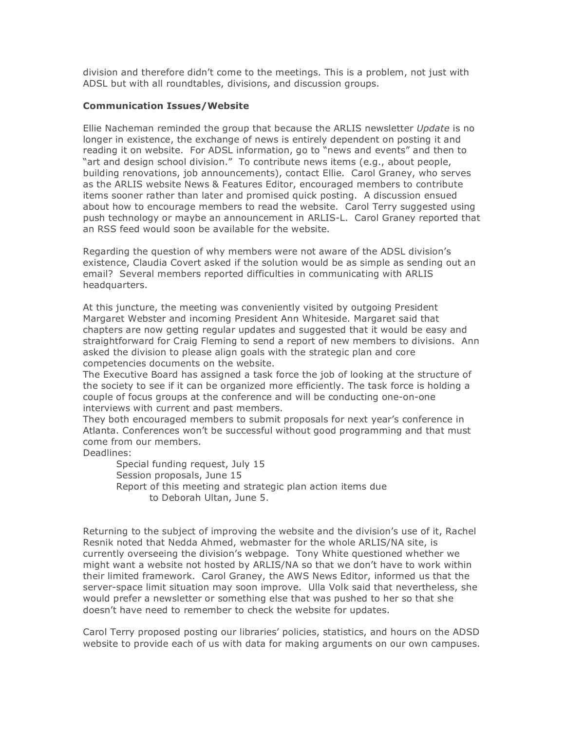division and therefore didn't come to the meetings. This is a problem, not just with ADSL but with all roundtables, divisions, and discussion groups.

# **Communication Issues/Website**

Ellie Nacheman reminded the group that because the ARLIS newsletter *Update* is no longer in existence, the exchange of news is entirely dependent on posting it and reading it on website. For ADSL information, go to "news and events" and then to "art and design school division." To contribute news items (e.g., about people, building renovations, job announcements), contact Ellie. Carol Graney, who serves as the ARLIS website News & Features Editor, encouraged members to contribute items sooner rather than later and promised quick posting. A discussion ensued about how to encourage members to read the website. Carol Terry suggested using push technology or maybe an announcement in ARLIS-L. Carol Graney reported that an RSS feed would soon be available for the website.

Regarding the question of why members were not aware of the ADSL division's existence, Claudia Covert asked if the solution would be as simple as sending out an email? Several members reported difficulties in communicating with ARLIS headquarters.

At this juncture, the meeting was conveniently visited by outgoing President Margaret Webster and incoming President Ann Whiteside. Margaret said that chapters are now getting regular updates and suggested that it would be easy and straightforward for Craig Fleming to send a report of new members to divisions. Ann asked the division to please align goals with the strategic plan and core competencies documents on the website.

The Executive Board has assigned a task force the job of looking at the structure of the society to see if it can be organized more efficiently. The task force is holding a couple of focus groups at the conference and will be conducting one-on-one interviews with current and past members.

They both encouraged members to submit proposals for next year's conference in Atlanta. Conferences won't be successful without good programming and that must come from our members.

Deadlines:

Special funding request, July 15 Session proposals, June 15 Report of this meeting and strategic plan action items due to Deborah Ultan, June 5.

Returning to the subject of improving the website and the division's use of it, Rachel Resnik noted that Nedda Ahmed, webmaster for the whole ARLIS/NA site, is currently overseeing the division's webpage. Tony White questioned whether we might want a website not hosted by ARLIS/NA so that we don't have to work within their limited framework. Carol Graney, the AWS News Editor, informed us that the server-space limit situation may soon improve. Ulla Volk said that nevertheless, she would prefer a newsletter or something else that was pushed to her so that she doesn't have need to remember to check the website for updates.

Carol Terry proposed posting our libraries' policies, statistics, and hours on the ADSD website to provide each of us with data for making arguments on our own campuses.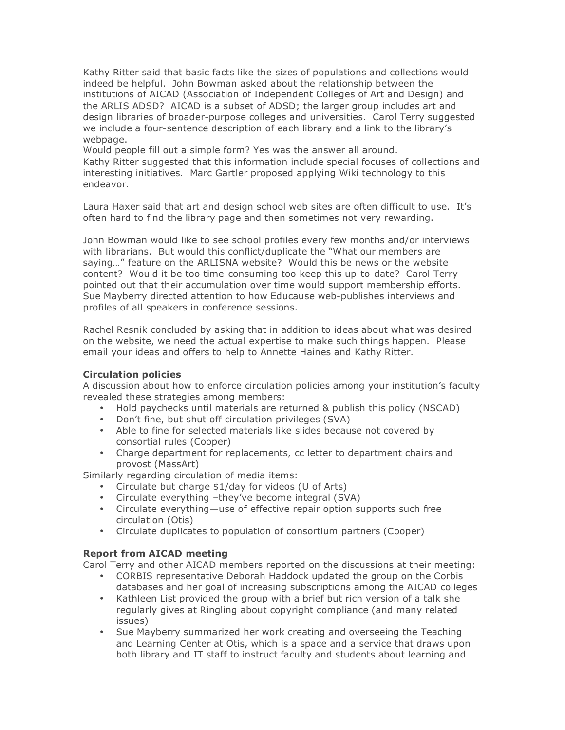Kathy Ritter said that basic facts like the sizes of populations and collections would indeed be helpful. John Bowman asked about the relationship between the institutions of AICAD (Association of Independent Colleges of Art and Design) and the ARLIS ADSD? AICAD is a subset of ADSD; the larger group includes art and design libraries of broader-purpose colleges and universities. Carol Terry suggested we include a four-sentence description of each library and a link to the library's webpage.

Would people fill out a simple form? Yes was the answer all around. Kathy Ritter suggested that this information include special focuses of collections and interesting initiatives. Marc Gartler proposed applying Wiki technology to this endeavor.

Laura Haxer said that art and design school web sites are often difficult to use. It's often hard to find the library page and then sometimes not very rewarding.

John Bowman would like to see school profiles every few months and/or interviews with librarians. But would this conflict/duplicate the "What our members are saying…" feature on the ARLISNA website? Would this be news or the website content? Would it be too time-consuming too keep this up-to-date? Carol Terry pointed out that their accumulation over time would support membership efforts. Sue Mayberry directed attention to how Educause web-publishes interviews and profiles of all speakers in conference sessions.

Rachel Resnik concluded by asking that in addition to ideas about what was desired on the website, we need the actual expertise to make such things happen. Please email your ideas and offers to help to Annette Haines and Kathy Ritter.

# **Circulation policies**

A discussion about how to enforce circulation policies among your institution's faculty revealed these strategies among members:

- Hold paychecks until materials are returned & publish this policy (NSCAD)
- Don't fine, but shut off circulation privileges (SVA)
- Able to fine for selected materials like slides because not covered by consortial rules (Cooper)
- Charge department for replacements, cc letter to department chairs and provost (MassArt)

Similarly regarding circulation of media items:

- Circulate but charge \$1/day for videos (U of Arts)
- Circulate everything –they've become integral (SVA)
- Circulate everything—use of effective repair option supports such free circulation (Otis)
- Circulate duplicates to population of consortium partners (Cooper)

# **Report from AICAD meeting**

Carol Terry and other AICAD members reported on the discussions at their meeting:

- CORBIS representative Deborah Haddock updated the group on the Corbis databases and her goal of increasing subscriptions among the AICAD colleges
- Kathleen List provided the group with a brief but rich version of a talk she regularly gives at Ringling about copyright compliance (and many related issues)
- Sue Mayberry summarized her work creating and overseeing the Teaching and Learning Center at Otis, which is a space and a service that draws upon both library and IT staff to instruct faculty and students about learning and